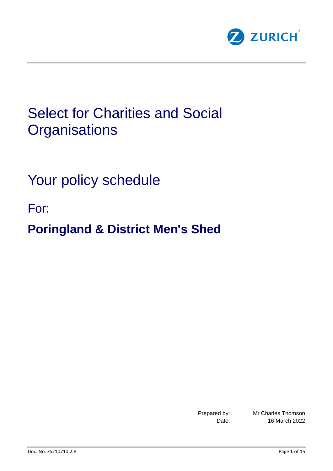

# Select for Charities and Social **Organisations**

Your policy schedule

For:

**Poringland & District Men's Shed**

Prepared by: Mr Charles Thomson Date: 16 March 2022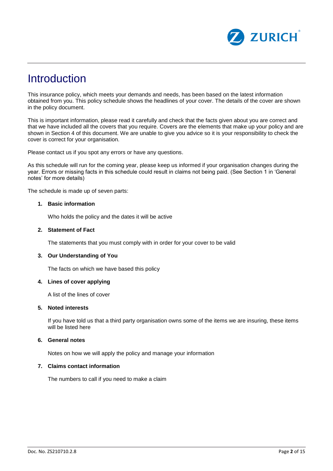

### **Introduction**

This insurance policy, which meets your demands and needs, has been based on the latest information obtained from you. This policy schedule shows the headlines of your cover. The details of the cover are shown in the policy document.

This is important information, please read it carefully and check that the facts given about you are correct and that we have included all the covers that you require. Covers are the elements that make up your policy and are shown in Section 4 of this document. We are unable to give you advice so it is your responsibility to check the cover is correct for your organisation.

Please contact us if you spot any errors or have any questions.

As this schedule will run for the coming year, please keep us informed if your organisation changes during the year. Errors or missing facts in this schedule could result in claims not being paid. (See Section 1 in 'General notes' for more details)

The schedule is made up of seven parts:

#### **1. Basic information**

Who holds the policy and the dates it will be active

#### **2. Statement of Fact**

The statements that you must comply with in order for your cover to be valid

#### **3. Our Understanding of You**

The facts on which we have based this policy

#### **4. Lines of cover applying**

A list of the lines of cover

#### **5. Noted interests**

If you have told us that a third party organisation owns some of the items we are insuring, these items will be listed here

#### **6. General notes**

Notes on how we will apply the policy and manage your information

### **7. Claims contact information**

The numbers to call if you need to make a claim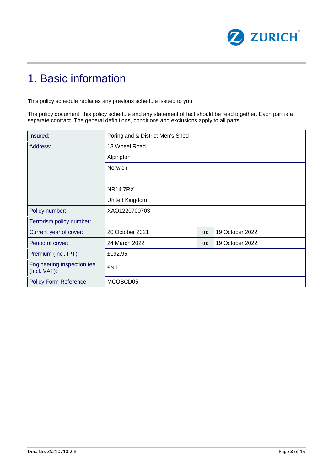

### 1. Basic information

This policy schedule replaces any previous schedule issued to you.

The policy document, this policy schedule and any statement of fact should be read together. Each part is a separate contract. The general definitions, conditions and exclusions apply to all parts.

| Insured:                                          | Poringland & District Men's Shed |     |                 |  |
|---------------------------------------------------|----------------------------------|-----|-----------------|--|
| Address:                                          | 13 Wheel Road                    |     |                 |  |
|                                                   | Alpington                        |     |                 |  |
|                                                   | Norwich                          |     |                 |  |
|                                                   |                                  |     |                 |  |
|                                                   | <b>NR147RX</b>                   |     |                 |  |
|                                                   | United Kingdom                   |     |                 |  |
| Policy number:                                    | XAO1220700703                    |     |                 |  |
| Terrorism policy number:                          |                                  |     |                 |  |
| Current year of cover:                            | 20 October 2021                  | to: | 19 October 2022 |  |
| Period of cover:                                  | 24 March 2022                    | to: | 19 October 2022 |  |
| Premium (Incl. IPT):                              | £192.95                          |     |                 |  |
| <b>Engineering Inspection fee</b><br>(Incl. VAT): | £Nil                             |     |                 |  |
| <b>Policy Form Reference</b>                      | MCOBCD05                         |     |                 |  |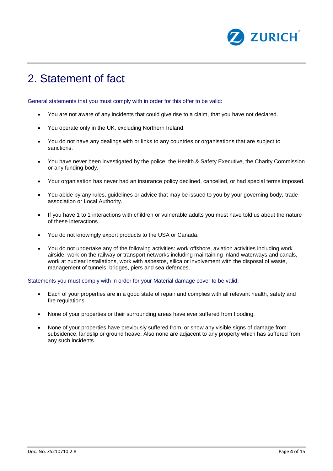

## 2. Statement of fact

General statements that you must comply with in order for this offer to be valid:

- You are not aware of any incidents that could give rise to a claim, that you have not declared.
- You operate only in the UK, excluding Northern Ireland.
- You do not have any dealings with or links to any countries or organisations that are subject to sanctions.
- You have never been investigated by the police, the Health & Safety Executive, the Charity Commission or any funding body.
- Your organisation has never had an insurance policy declined, cancelled, or had special terms imposed.
- You abide by any rules, guidelines or advice that may be issued to you by your governing body, trade association or Local Authority.
- If you have 1 to 1 interactions with children or vulnerable adults you must have told us about the nature of these interactions.
- You do not knowingly export products to the USA or Canada.
- You do not undertake any of the following activities: work offshore, aviation activities including work airside, work on the railway or transport networks including maintaining inland waterways and canals, work at nuclear installations, work with asbestos, silica or involvement with the disposal of waste, management of tunnels, bridges, piers and sea defences.

Statements you must comply with in order for your Material damage cover to be valid:

- Each of your properties are in a good state of repair and complies with all relevant health, safety and fire regulations.
- None of your properties or their surrounding areas have ever suffered from flooding.
- None of your properties have previously suffered from, or show any visible signs of damage from subsidence, landslip or ground heave. Also none are adjacent to any property which has suffered from any such incidents.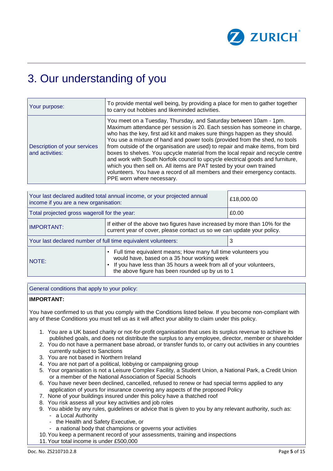

## 3. Our understanding of you

| Your purpose:                                   | To provide mental well being, by providing a place for men to gather together<br>to carry out hobbies and likeminded activities.                                                                                                                                                                                                                                                                                                                                                                                                                                                                                                                                                                                                                       |
|-------------------------------------------------|--------------------------------------------------------------------------------------------------------------------------------------------------------------------------------------------------------------------------------------------------------------------------------------------------------------------------------------------------------------------------------------------------------------------------------------------------------------------------------------------------------------------------------------------------------------------------------------------------------------------------------------------------------------------------------------------------------------------------------------------------------|
| Description of your services<br>and activities: | You meet on a Tuesday, Thursday, and Saturday between 10am - 1pm.<br>Maximum attendance per session is 20. Each session has someone in charge,<br>who has the key, first aid kit and makes sure things happen as they should.<br>You use a mixture of hand and power tools (provided from the shed, no tools<br>from outside of the organisation are used) to repair and make items, from bird<br>boxes to shelves. You upcycle material from the local repair and recycle centre<br>and work with South Norfolk council to upcycle electrical goods and furniture,<br>which you then sell on. All items are PAT tested by your own trained<br>volunteers. You have a record of all members and their emergency contacts.<br>PPE worn where necessary. |

| Your last declared audited total annual income, or your projected annual<br>income if you are a new organisation:                                                         |                                                                                                                                                                                                                                           | £18,000.00 |  |
|---------------------------------------------------------------------------------------------------------------------------------------------------------------------------|-------------------------------------------------------------------------------------------------------------------------------------------------------------------------------------------------------------------------------------------|------------|--|
| Total projected gross wageroll for the year:                                                                                                                              |                                                                                                                                                                                                                                           | £0.00      |  |
| If either of the above two figures have increased by more than 10% for the<br><b>IMPORTANT:</b><br>current year of cover, please contact us so we can update your policy. |                                                                                                                                                                                                                                           |            |  |
| Your last declared number of full time equivalent volunteers:                                                                                                             |                                                                                                                                                                                                                                           | 3          |  |
| NOTE:                                                                                                                                                                     | • Full time equivalent means; How many full time volunteers you<br>would have, based on a 35 hour working week<br>• If you have less than 35 hours a week from all of your volunteers,<br>the above figure has been rounded up by us to 1 |            |  |

General conditions that apply to your policy:

#### **IMPORTANT:**

You have confirmed to us that you comply with the Conditions listed below. If you become non-compliant with any of these Conditions you must tell us as it will affect your ability to claim under this policy.

- 1. You are a UK based charity or not-for-profit organisation that uses its surplus revenue to achieve its published goals, and does not distribute the surplus to any employee, director, member or shareholder
- 2. You do not have a permanent base abroad, or transfer funds to, or carry out activities in any countries currently subject to Sanctions
- 3. You are not based in Northern Ireland
- 4. You are not part of a political, lobbying or campaigning group
- 5. Your organisation is not a Leisure Complex Facility, a Student Union, a National Park, a Credit Union or a member of the National Association of Special Schools
- 6. You have never been declined, cancelled, refused to renew or had special terms applied to any application of yours for insurance covering any aspects of the proposed Policy
- 7. None of your buildings insured under this policy have a thatched roof
- 8. You risk assess all your key activities and job roles
- 9. You abide by any rules, guidelines or advice that is given to you by any relevant authority, such as:
	- a Local Authority
	- the Health and Safety Executive, or
	- a national body that champions or governs your activities
- 10.You keep a permanent record of your assessments, training and inspections
- 11.Your total income is under £500,000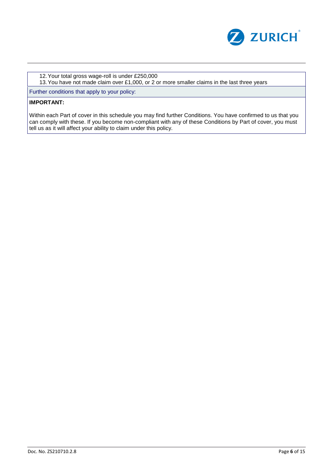

12.Your total gross wage-roll is under £250,000

13.You have not made claim over £1,000, or 2 or more smaller claims in the last three years

Further conditions that apply to your policy:

### **IMPORTANT:**

Within each Part of cover in this schedule you may find further Conditions. You have confirmed to us that you can comply with these. If you become non-compliant with any of these Conditions by Part of cover, you must tell us as it will affect your ability to claim under this policy.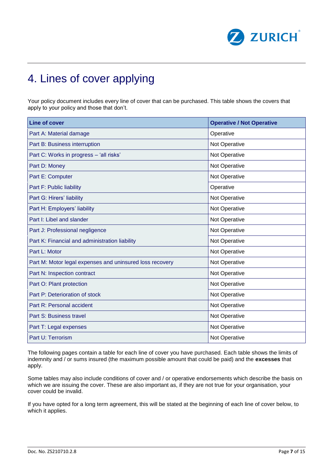

## 4. Lines of cover applying

Your policy document includes every line of cover that can be purchased. This table shows the covers that apply to your policy and those that don't.

| Line of cover                                            | <b>Operative / Not Operative</b> |
|----------------------------------------------------------|----------------------------------|
| Part A: Material damage                                  | Operative                        |
| Part B: Business interruption                            | Not Operative                    |
| Part C: Works in progress - 'all risks'                  | Not Operative                    |
| Part D: Money                                            | Not Operative                    |
| Part E: Computer                                         | Not Operative                    |
| Part F: Public liability                                 | Operative                        |
| Part G: Hirers' liability                                | Not Operative                    |
| Part H: Employers' liability                             | Not Operative                    |
| Part I: Libel and slander                                | Not Operative                    |
| Part J: Professional negligence                          | Not Operative                    |
| Part K: Financial and administration liability           | Not Operative                    |
| Part L: Motor                                            | Not Operative                    |
| Part M: Motor legal expenses and uninsured loss recovery | Not Operative                    |
| Part N: Inspection contract                              | Not Operative                    |
| Part O: Plant protection                                 | Not Operative                    |
| Part P: Deterioration of stock                           | Not Operative                    |
| Part R: Personal accident                                | Not Operative                    |
| Part S: Business travel                                  | Not Operative                    |
| Part T: Legal expenses                                   | Not Operative                    |
| Part U: Terrorism                                        | Not Operative                    |

The following pages contain a table for each line of cover you have purchased. Each table shows the limits of indemnity and / or sums insured (the maximum possible amount that could be paid) and the **excesses** that apply.

Some tables may also include conditions of cover and / or operative endorsements which describe the basis on which we are issuing the cover. These are also important as, if they are not true for your organisation, your cover could be invalid.

If you have opted for a long term agreement, this will be stated at the beginning of each line of cover below, to which it applies.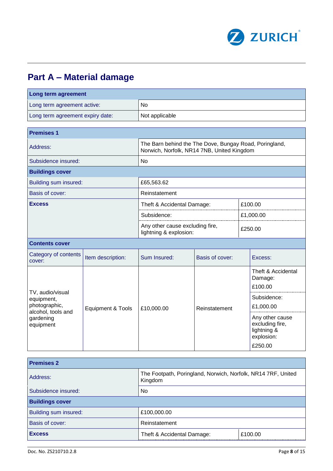

### **Part A – Material damage**

| Long term agreement                                                   |                   |                                                                                                      |                 |  |                                                                            |  |
|-----------------------------------------------------------------------|-------------------|------------------------------------------------------------------------------------------------------|-----------------|--|----------------------------------------------------------------------------|--|
| Long term agreement active:                                           |                   | <b>No</b>                                                                                            |                 |  |                                                                            |  |
| Long term agreement expiry date:                                      |                   | Not applicable                                                                                       |                 |  |                                                                            |  |
|                                                                       |                   |                                                                                                      |                 |  |                                                                            |  |
| <b>Premises 1</b>                                                     |                   |                                                                                                      |                 |  |                                                                            |  |
| Address:                                                              |                   | The Barn behind the The Dove, Bungay Road, Poringland,<br>Norwich, Norfolk, NR14 7NB, United Kingdom |                 |  |                                                                            |  |
| Subsidence insured:                                                   |                   | <b>No</b>                                                                                            |                 |  |                                                                            |  |
| <b>Buildings cover</b>                                                |                   |                                                                                                      |                 |  |                                                                            |  |
| Building sum insured:                                                 |                   | £65,563.62                                                                                           |                 |  |                                                                            |  |
| Basis of cover:                                                       |                   | Reinstatement                                                                                        |                 |  |                                                                            |  |
| <b>Excess</b>                                                         |                   | Theft & Accidental Damage:                                                                           |                 |  | £100.00                                                                    |  |
|                                                                       |                   | Subsidence:                                                                                          |                 |  | £1,000.00                                                                  |  |
|                                                                       |                   | Any other cause excluding fire,<br>lightning & explosion:                                            |                 |  | £250.00                                                                    |  |
| <b>Contents cover</b>                                                 |                   |                                                                                                      |                 |  |                                                                            |  |
| Category of contents<br>Item description:<br>cover:                   |                   | Sum Insured:                                                                                         | Basis of cover: |  | Excess:                                                                    |  |
|                                                                       | Equipment & Tools | £10,000.00                                                                                           |                 |  | Theft & Accidental<br>Damage:<br>£100.00                                   |  |
| TV, audio/visual<br>equipment,<br>photographic,<br>alcohol, tools and |                   |                                                                                                      |                 |  | Subsidence:                                                                |  |
|                                                                       |                   |                                                                                                      | Reinstatement   |  | £1,000.00                                                                  |  |
| gardening<br>equipment                                                |                   |                                                                                                      |                 |  | Any other cause<br>excluding fire,<br>lightning &<br>explosion:<br>£250.00 |  |

| <b>Premises 2</b>      |                                                                         |         |  |
|------------------------|-------------------------------------------------------------------------|---------|--|
| Address:               | The Footpath, Poringland, Norwich, Norfolk, NR14 7RF, United<br>Kingdom |         |  |
| Subsidence insured:    | No.                                                                     |         |  |
| <b>Buildings cover</b> |                                                                         |         |  |
| Building sum insured:  | £100,000.00                                                             |         |  |
| Basis of cover:        | Reinstatement                                                           |         |  |
| <b>Excess</b>          | Theft & Accidental Damage:                                              | £100.00 |  |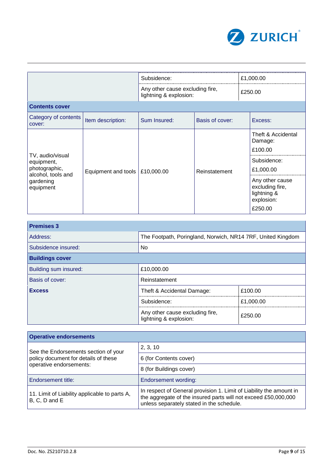

|                                                                                                 |                     | Subsidence:                                               |                 | £1,000.00                                                                  |  |
|-------------------------------------------------------------------------------------------------|---------------------|-----------------------------------------------------------|-----------------|----------------------------------------------------------------------------|--|
|                                                                                                 |                     | Any other cause excluding fire,<br>lightning & explosion: |                 | £250.00                                                                    |  |
| <b>Contents cover</b>                                                                           |                     |                                                           |                 |                                                                            |  |
| Category of contents<br>cover:                                                                  | Item description:   | Sum Insured:                                              | Basis of cover: | Excess:                                                                    |  |
| TV, audio/visual<br>equipment,<br>photographic,<br>alcohol, tools and<br>gardening<br>equipment |                     | £10,000.00                                                |                 | Theft & Accidental<br>Damage:<br>£100.00                                   |  |
|                                                                                                 | Equipment and tools |                                                           | Reinstatement   | Subsidence:<br>£1,000.00                                                   |  |
|                                                                                                 |                     |                                                           |                 | Any other cause<br>excluding fire,<br>lightning &<br>explosion:<br>£250.00 |  |

| <b>Premises 3</b>      |                                                             |           |  |
|------------------------|-------------------------------------------------------------|-----------|--|
| Address:               | The Footpath, Poringland, Norwich, NR14 7RF, United Kingdom |           |  |
| Subsidence insured:    | No.                                                         |           |  |
| <b>Buildings cover</b> |                                                             |           |  |
| Building sum insured:  | £10,000.00                                                  |           |  |
| Basis of cover:        | Reinstatement                                               |           |  |
| <b>Excess</b>          | Theft & Accidental Damage:                                  | £100.00   |  |
|                        | Subsidence:                                                 | £1,000.00 |  |
|                        | Any other cause excluding fire,<br>lightning & explosion:   | £250.00   |  |

| <b>Operative endorsements</b>                                  |                                                                                                                                                                                    |  |  |
|----------------------------------------------------------------|------------------------------------------------------------------------------------------------------------------------------------------------------------------------------------|--|--|
| See the Endorsements section of your                           | 2, 3, 10                                                                                                                                                                           |  |  |
| policy document for details of these                           | 6 (for Contents cover)                                                                                                                                                             |  |  |
| operative endorsements:                                        | 8 (for Buildings cover)                                                                                                                                                            |  |  |
| Endorsement title:                                             | Endorsement wording:                                                                                                                                                               |  |  |
| 11. Limit of Liability applicable to parts A,<br>B, C, D and E | In respect of General provision 1. Limit of Liability the amount in<br>the aggregate of the insured parts will not exceed £50,000,000<br>unless separately stated in the schedule. |  |  |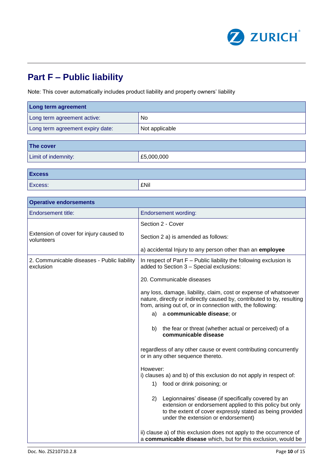

### **Part F – Public liability**

Note: This cover automatically includes product liability and property owners' liability

| Long term agreement                                      |                                                                                                                                                                                                                                                                                                                                                                     |  |
|----------------------------------------------------------|---------------------------------------------------------------------------------------------------------------------------------------------------------------------------------------------------------------------------------------------------------------------------------------------------------------------------------------------------------------------|--|
| Long term agreement active:                              | No                                                                                                                                                                                                                                                                                                                                                                  |  |
| Long term agreement expiry date:                         | Not applicable                                                                                                                                                                                                                                                                                                                                                      |  |
|                                                          |                                                                                                                                                                                                                                                                                                                                                                     |  |
| The cover                                                |                                                                                                                                                                                                                                                                                                                                                                     |  |
| Limit of indemnity:                                      | £5,000,000                                                                                                                                                                                                                                                                                                                                                          |  |
| <b>Excess</b>                                            |                                                                                                                                                                                                                                                                                                                                                                     |  |
| Excess:                                                  | <b>£Nil</b>                                                                                                                                                                                                                                                                                                                                                         |  |
|                                                          |                                                                                                                                                                                                                                                                                                                                                                     |  |
| <b>Operative endorsements</b>                            |                                                                                                                                                                                                                                                                                                                                                                     |  |
| <b>Endorsement title:</b>                                | <b>Endorsement wording:</b>                                                                                                                                                                                                                                                                                                                                         |  |
|                                                          | Section 2 - Cover                                                                                                                                                                                                                                                                                                                                                   |  |
| Extension of cover for injury caused to<br>volunteers    | Section 2 a) is amended as follows:                                                                                                                                                                                                                                                                                                                                 |  |
|                                                          | a) accidental Injury to any person other than an employee                                                                                                                                                                                                                                                                                                           |  |
| 2. Communicable diseases - Public liability<br>exclusion | In respect of Part $F -$ Public liability the following exclusion is<br>added to Section 3 - Special exclusions:                                                                                                                                                                                                                                                    |  |
|                                                          | 20. Communicable diseases                                                                                                                                                                                                                                                                                                                                           |  |
|                                                          | any loss, damage, liability, claim, cost or expense of whatsoever<br>nature, directly or indirectly caused by, contributed to by, resulting<br>from, arising out of, or in connection with, the following:                                                                                                                                                          |  |
|                                                          | a communicable disease; or<br>a)                                                                                                                                                                                                                                                                                                                                    |  |
|                                                          | the fear or threat (whether actual or perceived) of a<br>b)<br>communicable disease                                                                                                                                                                                                                                                                                 |  |
|                                                          | regardless of any other cause or event contributing concurrently<br>or in any other sequence thereto.                                                                                                                                                                                                                                                               |  |
|                                                          | However:<br>i) clauses a) and b) of this exclusion do not apply in respect of:<br>food or drink poisoning; or<br>1)                                                                                                                                                                                                                                                 |  |
|                                                          | Legionnaires' disease (if specifically covered by an<br>2)<br>extension or endorsement applied to this policy but only<br>to the extent of cover expressly stated as being provided<br>under the extension or endorsement)<br>ii) clause a) of this exclusion does not apply to the occurrence of<br>a communicable disease which, but for this exclusion, would be |  |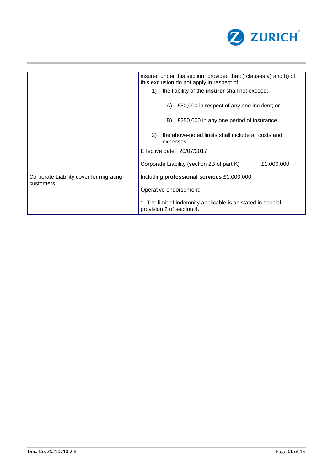

|                                         | insured under this section, provided that: ) clauses a) and b) of<br>this exclusion do not apply in respect of: |  |  |
|-----------------------------------------|-----------------------------------------------------------------------------------------------------------------|--|--|
|                                         | the liability of the insurer shall not exceed:<br>1)                                                            |  |  |
|                                         | £50,000 in respect of any one incident; or<br>A)                                                                |  |  |
|                                         | £250,000 in any one period of insurance<br>B)                                                                   |  |  |
|                                         | the above-noted limits shall include all costs and<br>2)<br>expenses.                                           |  |  |
|                                         | Effective date: 20/07/2017                                                                                      |  |  |
|                                         | Corporate Liability (section 2B of part K)<br>£1,000,000                                                        |  |  |
| Corporate Liability cover for migrating | Including professional services £1,000,000                                                                      |  |  |
| customers                               | Operative endorsement:                                                                                          |  |  |
|                                         | 1. The limit of indemnity applicable is as stated in special<br>provision 2 of section 4.                       |  |  |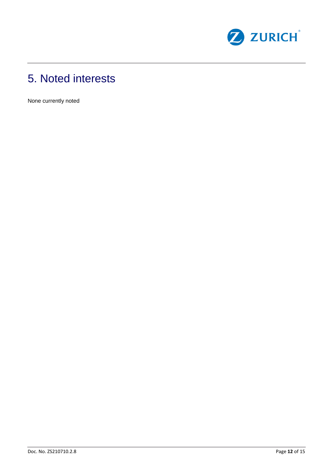

## 5. Noted interests

None currently noted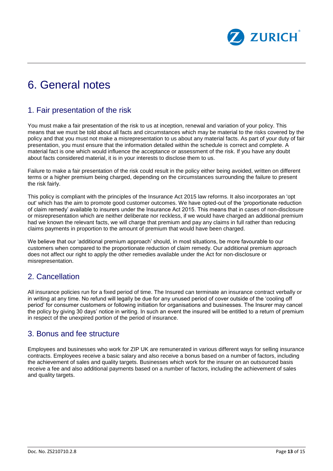

### 6. General notes

### 1. Fair presentation of the risk

You must make a fair presentation of the risk to us at inception, renewal and variation of your policy. This means that we must be told about all facts and circumstances which may be material to the risks covered by the policy and that you must not make a misrepresentation to us about any material facts. As part of your duty of fair presentation, you must ensure that the information detailed within the schedule is correct and complete. A material fact is one which would influence the acceptance or assessment of the risk. If you have any doubt about facts considered material, it is in your interests to disclose them to us.

Failure to make a fair presentation of the risk could result in the policy either being avoided, written on different terms or a higher premium being charged, depending on the circumstances surrounding the failure to present the risk fairly.

This policy is compliant with the principles of the Insurance Act 2015 law reforms. It also incorporates an 'opt out' which has the aim to promote good customer outcomes. We have opted-out of the 'proportionate reduction of claim remedy' available to insurers under the Insurance Act 2015. This means that in cases of non-disclosure or misrepresentation which are neither deliberate nor reckless, if we would have charged an additional premium had we known the relevant facts, we will charge that premium and pay any claims in full rather than reducing claims payments in proportion to the amount of premium that would have been charged.

We believe that our 'additional premium approach' should, in most situations, be more favourable to our customers when compared to the proportionate reduction of claim remedy. Our additional premium approach does not affect our right to apply the other remedies available under the Act for non-disclosure or misrepresentation.

### 2. Cancellation

All insurance policies run for a fixed period of time. The Insured can terminate an insurance contract verbally or in writing at any time. No refund will legally be due for any unused period of cover outside of the 'cooling off period' for consumer customers or following initiation for organisations and businesses. The Insurer may cancel the policy by giving 30 days' notice in writing. In such an event the insured will be entitled to a return of premium in respect of the unexpired portion of the period of insurance.

### 3. Bonus and fee structure

Employees and businesses who work for ZIP UK are remunerated in various different ways for selling insurance contracts. Employees receive a basic salary and also receive a bonus based on a number of factors, including the achievement of sales and quality targets. Businesses which work for the insurer on an outsourced basis receive a fee and also additional payments based on a number of factors, including the achievement of sales and quality targets.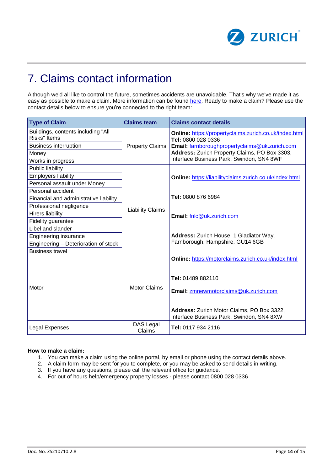

### 7. Claims contact information

Although we'd all like to control the future, sometimes accidents are unavoidable. That's why we've made it as easy as possible to make a claim. More information can be found [here.](https://www.zurich.co.uk/en/charity-insurance/make-a-claim) Ready to make a claim? Please use the contact details below to ensure you're connected to the right team:

| <b>Type of Claim</b>                                       | <b>Claims team</b>      | <b>Claims contact details</b>                                                           |
|------------------------------------------------------------|-------------------------|-----------------------------------------------------------------------------------------|
| Buildings, contents including "All<br><b>Risks</b> " Items |                         | Online: https://propertyclaims.zurich.co.uk/index.html<br>Tel: 0800 028 0336            |
| <b>Business interruption</b>                               | <b>Property Claims</b>  | Email: farnboroughpropertyclaims@uk.zurich.com                                          |
| Money                                                      |                         | Address: Zurich Property Claims, PO Box 3303,                                           |
| Works in progress                                          |                         | Interface Business Park, Swindon, SN4 8WF                                               |
| Public liability                                           |                         |                                                                                         |
| <b>Employers liability</b>                                 |                         | Online: https://liabilityclaims.zurich.co.uk/index.html                                 |
| Personal assault under Money                               |                         |                                                                                         |
| Personal accident                                          |                         |                                                                                         |
| Financial and administrative liability                     |                         | Tel: 0800 876 6984                                                                      |
| Professional negligence                                    | <b>Liability Claims</b> |                                                                                         |
| <b>Hirers liability</b>                                    |                         | Email: fnlc@uk.zurich.com                                                               |
| Fidelity guarantee                                         |                         |                                                                                         |
| Libel and slander                                          |                         |                                                                                         |
| <b>Engineering insurance</b>                               |                         | Address: Zurich House, 1 Gladiator Way,                                                 |
| Engineering - Deterioration of stock                       |                         | Farnborough, Hampshire, GU14 6GB                                                        |
| <b>Business travel</b>                                     |                         |                                                                                         |
|                                                            |                         | Online: https://motorclaims.zurich.co.uk/index.html<br>Tel: 01489 882110                |
|                                                            |                         |                                                                                         |
| Motor                                                      | <b>Motor Claims</b>     | Email: zmnewmotorclaims@uk.zurich.com                                                   |
|                                                            |                         | Address: Zurich Motor Claims, PO Box 3322,<br>Interface Business Park, Swindon, SN4 8XW |
| Legal Expenses                                             | DAS Legal<br>Claims     | Tel: 0117 934 2116                                                                      |

#### **How to make a claim:**

- 1. You can make a claim using the online portal, by email or phone using the contact details above.
- 2. A claim form may be sent for you to complete, or you may be asked to send details in writing.
- 3. If you have any questions, please call the relevant office for guidance.
- 4. For out of hours help/emergency property losses please contact 0800 028 0336